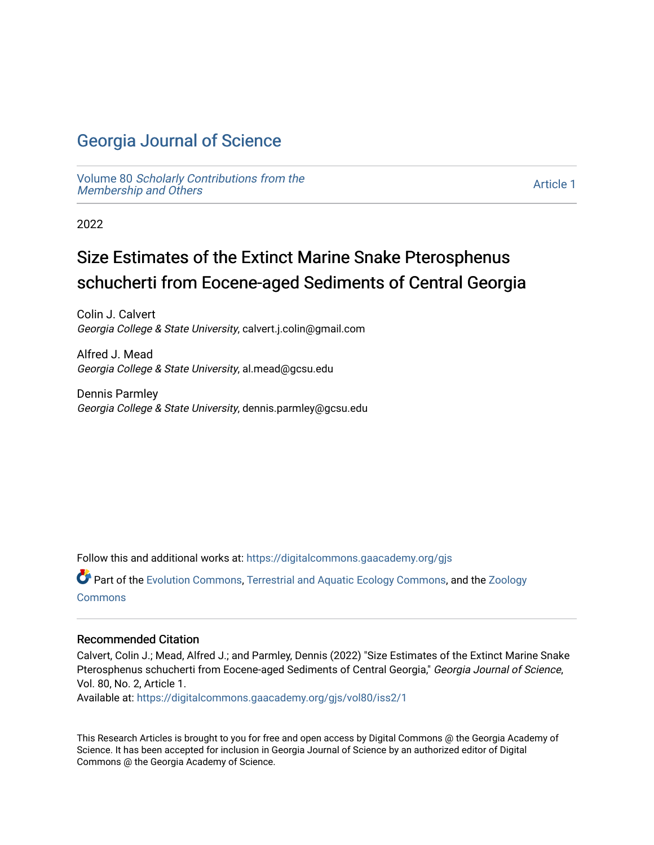# [Georgia Journal of Science](https://digitalcommons.gaacademy.org/gjs)

Volume 80 [Scholarly Contributions from the](https://digitalcommons.gaacademy.org/gjs/vol80)  Membership and Others

[Article 1](https://digitalcommons.gaacademy.org/gjs/vol80/iss2/1) 

2022

# Size Estimates of the Extinct Marine Snake Pterosphenus schucherti from Eocene-aged Sediments of Central Georgia

Colin J. Calvert Georgia College & State University, calvert.j.colin@gmail.com

Alfred J. Mead Georgia College & State University, al.mead@gcsu.edu

Dennis Parmley Georgia College & State University, dennis.parmley@gcsu.edu

Follow this and additional works at: [https://digitalcommons.gaacademy.org/gjs](https://digitalcommons.gaacademy.org/gjs?utm_source=digitalcommons.gaacademy.org%2Fgjs%2Fvol80%2Fiss2%2F1&utm_medium=PDF&utm_campaign=PDFCoverPages) 

Part of the [Evolution Commons,](http://network.bepress.com/hgg/discipline/18?utm_source=digitalcommons.gaacademy.org%2Fgjs%2Fvol80%2Fiss2%2F1&utm_medium=PDF&utm_campaign=PDFCoverPages) [Terrestrial and Aquatic Ecology Commons,](http://network.bepress.com/hgg/discipline/20?utm_source=digitalcommons.gaacademy.org%2Fgjs%2Fvol80%2Fiss2%2F1&utm_medium=PDF&utm_campaign=PDFCoverPages) and the [Zoology](http://network.bepress.com/hgg/discipline/81?utm_source=digitalcommons.gaacademy.org%2Fgjs%2Fvol80%2Fiss2%2F1&utm_medium=PDF&utm_campaign=PDFCoverPages)  **[Commons](http://network.bepress.com/hgg/discipline/81?utm_source=digitalcommons.gaacademy.org%2Fgjs%2Fvol80%2Fiss2%2F1&utm_medium=PDF&utm_campaign=PDFCoverPages)** 

#### Recommended Citation

Calvert, Colin J.; Mead, Alfred J.; and Parmley, Dennis (2022) "Size Estimates of the Extinct Marine Snake Pterosphenus schucherti from Eocene-aged Sediments of Central Georgia," Georgia Journal of Science, Vol. 80, No. 2, Article 1.

Available at: [https://digitalcommons.gaacademy.org/gjs/vol80/iss2/1](https://digitalcommons.gaacademy.org/gjs/vol80/iss2/1?utm_source=digitalcommons.gaacademy.org%2Fgjs%2Fvol80%2Fiss2%2F1&utm_medium=PDF&utm_campaign=PDFCoverPages)

This Research Articles is brought to you for free and open access by Digital Commons @ the Georgia Academy of Science. It has been accepted for inclusion in Georgia Journal of Science by an authorized editor of Digital Commons @ the Georgia Academy of Science.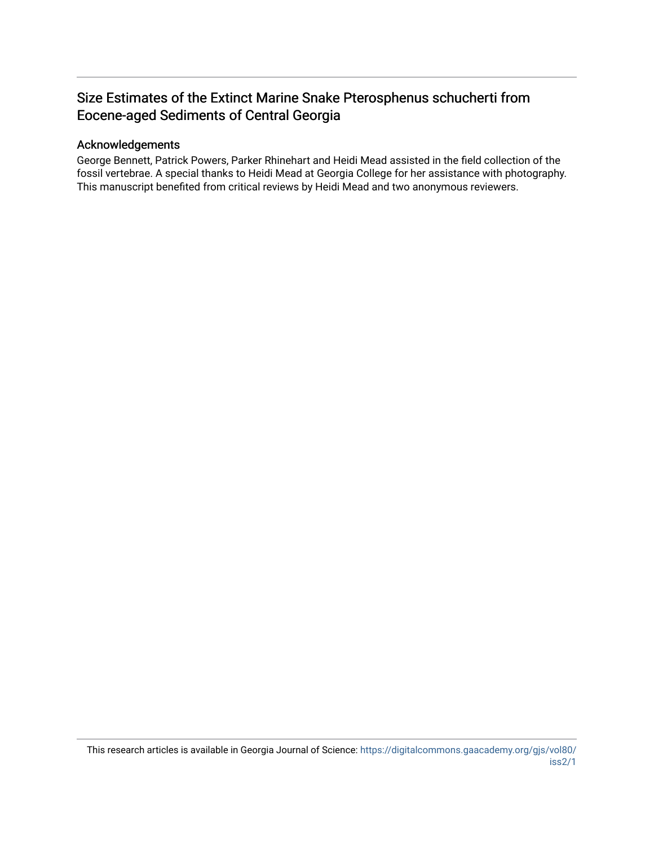# Size Estimates of the Extinct Marine Snake Pterosphenus schucherti from Eocene-aged Sediments of Central Georgia

#### Acknowledgements

George Bennett, Patrick Powers, Parker Rhinehart and Heidi Mead assisted in the field collection of the fossil vertebrae. A special thanks to Heidi Mead at Georgia College for her assistance with photography. This manuscript benefited from critical reviews by Heidi Mead and two anonymous reviewers.

This research articles is available in Georgia Journal of Science: [https://digitalcommons.gaacademy.org/gjs/vol80/](https://digitalcommons.gaacademy.org/gjs/vol80/iss2/1) [iss2/1](https://digitalcommons.gaacademy.org/gjs/vol80/iss2/1)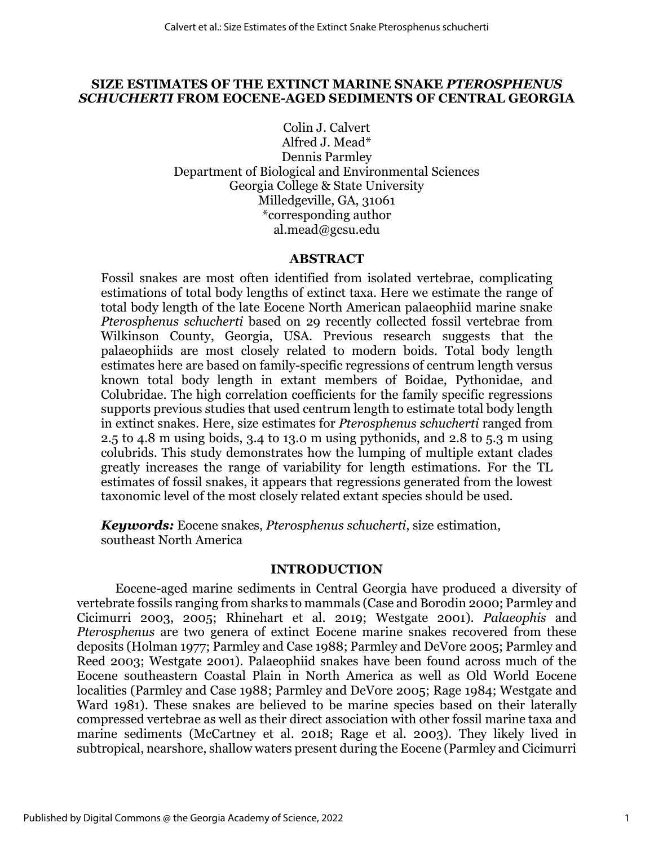# **SIZE ESTIMATES OF THE EXTINCT MARINE SNAKE** *PTEROSPHENUS SCHUCHERTI* **FROM EOCENE-AGED SEDIMENTS OF CENTRAL GEORGIA**

Colin J. Calvert Alfred J. Mead\* Dennis Parmley Department of Biological and Environmental Sciences Georgia College & State University Milledgeville, GA, 31061 \*corresponding author al.mead@gcsu.edu

# **ABSTRACT**

Fossil snakes are most often identified from isolated vertebrae, complicating estimations of total body lengths of extinct taxa. Here we estimate the range of total body length of the late Eocene North American palaeophiid marine snake *Pterosphenus schucherti* based on 29 recently collected fossil vertebrae from Wilkinson County, Georgia, USA. Previous research suggests that the palaeophiids are most closely related to modern boids. Total body length estimates here are based on family-specific regressions of centrum length versus known total body length in extant members of Boidae, Pythonidae, and Colubridae. The high correlation coefficients for the family specific regressions supports previous studies that used centrum length to estimate total body length in extinct snakes. Here, size estimates for *Pterosphenus schucherti* ranged from 2.5 to 4.8 m using boids, 3.4 to 13.0 m using pythonids, and 2.8 to 5.3 m using colubrids. This study demonstrates how the lumping of multiple extant clades greatly increases the range of variability for length estimations. For the TL estimates of fossil snakes, it appears that regressions generated from the lowest taxonomic level of the most closely related extant species should be used.

*Keywords:* Eocene snakes, *Pterosphenus schucherti*, size estimation, southeast North America

#### **INTRODUCTION**

Eocene-aged marine sediments in Central Georgia have produced a diversity of vertebrate fossils ranging from sharks to mammals (Case and Borodin 2000; Parmley and Cicimurri 2003, 2005; Rhinehart et al. 2019; Westgate 2001). *Palaeophis* and *Pterosphenus* are two genera of extinct Eocene marine snakes recovered from these deposits (Holman 1977; Parmley and Case 1988; Parmley and DeVore 2005; Parmley and Reed 2003; Westgate 2001)*.* Palaeophiid snakes have been found across much of the Eocene southeastern Coastal Plain in North America as well as Old World Eocene localities (Parmley and Case 1988; Parmley and DeVore 2005; Rage 1984; Westgate and Ward 1981). These snakes are believed to be marine species based on their laterally compressed vertebrae as well as their direct association with other fossil marine taxa and marine sediments (McCartney et al. 2018; Rage et al. 2003). They likely lived in subtropical, nearshore, shallow waters present during the Eocene (Parmley and Cicimurri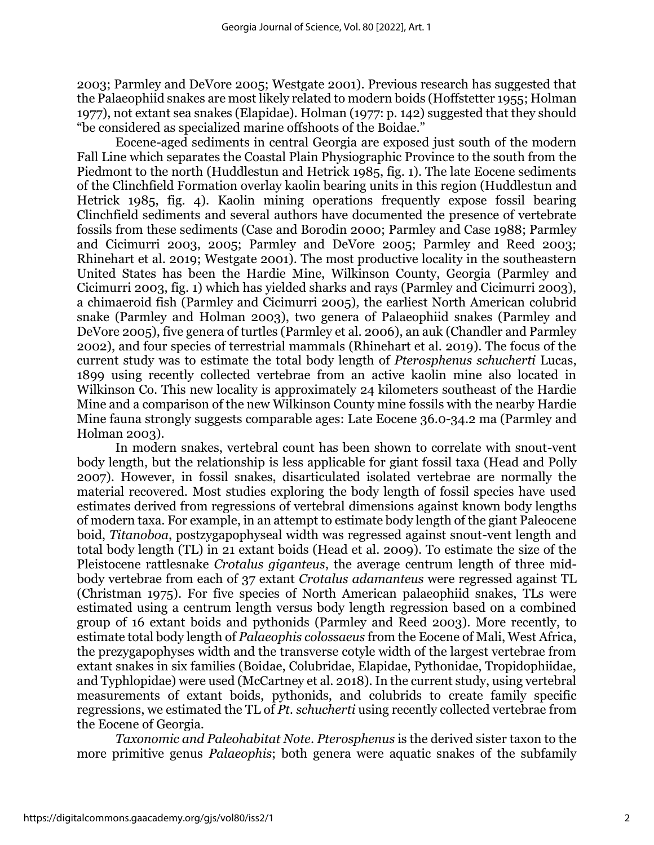2003; Parmley and DeVore 2005; Westgate 2001). Previous research has suggested that the Palaeophiid snakes are most likely related to modern boids (Hoffstetter 1955; Holman 1977), not extant sea snakes (Elapidae). Holman (1977: p. 142) suggested that they should "be considered as specialized marine offshoots of the Boidae."

Eocene-aged sediments in central Georgia are exposed just south of the modern Fall Line which separates the Coastal Plain Physiographic Province to the south from the Piedmont to the north (Huddlestun and Hetrick 1985, fig. 1). The late Eocene sediments of the Clinchfield Formation overlay kaolin bearing units in this region (Huddlestun and Hetrick 1985, fig. 4). Kaolin mining operations frequently expose fossil bearing Clinchfield sediments and several authors have documented the presence of vertebrate fossils from these sediments (Case and Borodin 2000; Parmley and Case 1988; Parmley and Cicimurri 2003, 2005; Parmley and DeVore 2005; Parmley and Reed 2003; Rhinehart et al. 2019; Westgate 2001). The most productive locality in the southeastern United States has been the Hardie Mine, Wilkinson County, Georgia (Parmley and Cicimurri 2003, fig. 1) which has yielded sharks and rays (Parmley and Cicimurri 2003), a chimaeroid fish (Parmley and Cicimurri 2005), the earliest North American colubrid snake (Parmley and Holman 2003), two genera of Palaeophiid snakes (Parmley and DeVore 2005), five genera of turtles (Parmley et al. 2006), an auk (Chandler and Parmley 2002), and four species of terrestrial mammals (Rhinehart et al. 2019). The focus of the current study was to estimate the total body length of *Pterosphenus schucherti* Lucas, 1899 using recently collected vertebrae from an active kaolin mine also located in Wilkinson Co. This new locality is approximately 24 kilometers southeast of the Hardie Mine and a comparison of the new Wilkinson County mine fossils with the nearby Hardie Mine fauna strongly suggests comparable ages: Late Eocene 36.0-34.2 ma (Parmley and Holman 2003).

In modern snakes, vertebral count has been shown to correlate with snout-vent body length, but the relationship is less applicable for giant fossil taxa (Head and Polly 2007). However, in fossil snakes, disarticulated isolated vertebrae are normally the material recovered. Most studies exploring the body length of fossil species have used estimates derived from regressions of vertebral dimensions against known body lengths of modern taxa. For example, in an attempt to estimate body length of the giant Paleocene boid, *Titanoboa*, postzygapophyseal width was regressed against snout-vent length and total body length (TL) in 21 extant boids (Head et al. 2009). To estimate the size of the Pleistocene rattlesnake *Crotalus giganteus*, the average centrum length of three midbody vertebrae from each of 37 extant *Crotalus adamanteus* were regressed against TL (Christman 1975). For five species of North American palaeophiid snakes, TLs were estimated using a centrum length versus body length regression based on a combined group of 16 extant boids and pythonids (Parmley and Reed 2003). More recently, to estimate total body length of *Palaeophis colossaeus* from the Eocene of Mali, West Africa, the prezygapophyses width and the transverse cotyle width of the largest vertebrae from extant snakes in six families (Boidae, Colubridae, Elapidae, Pythonidae, Tropidophiidae, and Typhlopidae) were used (McCartney et al. 2018). In the current study, using vertebral measurements of extant boids, pythonids, and colubrids to create family specific regressions, we estimated the TL of *Pt. schucherti* using recently collected vertebrae from the Eocene of Georgia.

*Taxonomic and Paleohabitat Note*. *Pterosphenus* is the derived sister taxon to the more primitive genus *Palaeophis*; both genera were aquatic snakes of the subfamily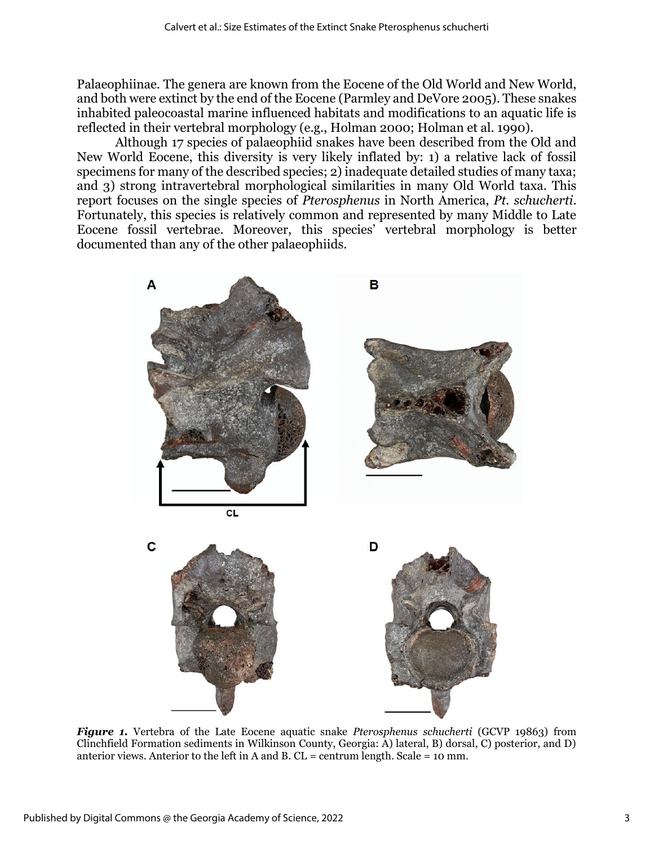Palaeophiinae. The genera are known from the Eocene of the Old World and New World, and both were extinct by the end of the Eocene (Parmley and DeVore 2005). These snakes inhabited paleocoastal marine influenced habitats and modifications to an aquatic life is reflected in their vertebral morphology (e.g., Holman 2000; Holman et al. 1990).

Although 17 species of palaeophiid snakes have been described from the Old and New World Eocene, this diversity is very likely inflated by: 1) a relative lack of fossil specimens for many of the described species; 2) inadequate detailed studies of many taxa; and 3) strong intravertebral morphological similarities in many Old World taxa. This report focuses on the single species of *Pterosphenus* in North America, *Pt. schucherti*. Fortunately, this species is relatively common and represented by many Middle to Late Eocene fossil vertebrae. Moreover, this species' vertebral morphology is better documented than any of the other palaeophiids.



*Figure 1.* Vertebra of the Late Eocene aquatic snake *Pterosphenus schucherti* (GCVP 19863) from Clinchfield Formation sediments in Wilkinson County, Georgia: A) lateral, B) dorsal, C) posterior, and D) anterior views. Anterior to the left in A and B.  $CL =$  centrum length. Scale = 10 mm.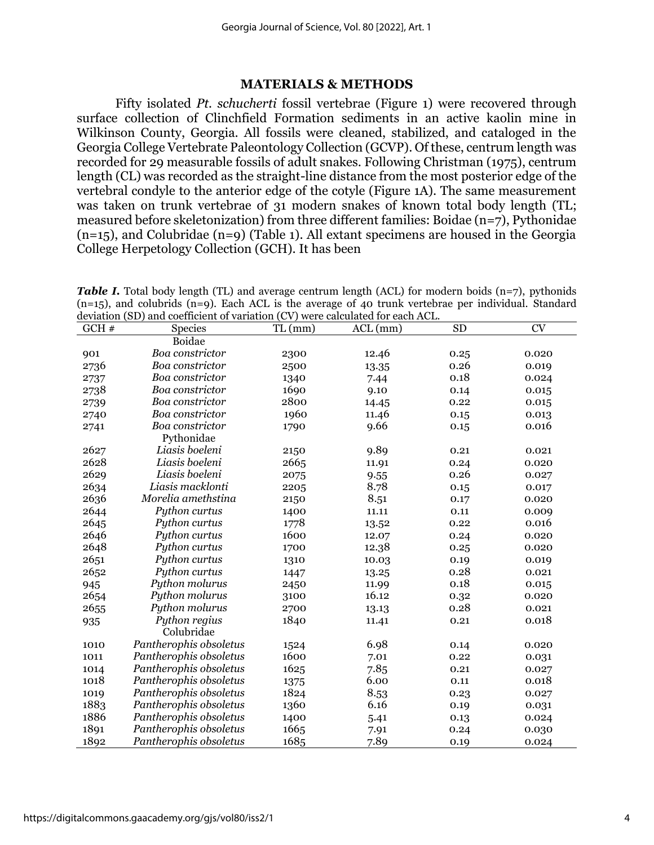# **MATERIALS & METHODS**

Fifty isolated *Pt. schucherti* fossil vertebrae (Figure 1) were recovered through surface collection of Clinchfield Formation sediments in an active kaolin mine in Wilkinson County, Georgia. All fossils were cleaned, stabilized, and cataloged in the Georgia College Vertebrate Paleontology Collection (GCVP). Of these, centrum length was recorded for 29 measurable fossils of adult snakes. Following Christman (1975), centrum length (CL) was recorded as the straight-line distance from the most posterior edge of the vertebral condyle to the anterior edge of the cotyle (Figure 1A). The same measurement was taken on trunk vertebrae of 31 modern snakes of known total body length (TL; measured before skeletonization) from three different families: Boidae (n=7), Pythonidae  $(n=15)$ , and Colubridae  $(n=9)$  (Table 1). All extant specimens are housed in the Georgia College Herpetology Collection (GCH). It has been

| <b>Table I.</b> Total body length (TL) and average centrum length (ACL) for modern boids $(n=7)$ , pythonids |
|--------------------------------------------------------------------------------------------------------------|
| $(n=15)$ , and colubrids $(n=9)$ . Each ACL is the average of 40 trunk vertebrae per individual. Standard    |
| deviation (SD) and coefficient of variation (CV) were calculated for each ACL.                               |

| GCH# | accuration (b) and coefficient of variation (CV) were calculated for each free. | TL(mm) | $ACL$ (mm) | <b>SD</b> | <b>CV</b> |
|------|---------------------------------------------------------------------------------|--------|------------|-----------|-----------|
|      | <b>Species</b><br>Boidae                                                        |        |            |           |           |
|      |                                                                                 |        |            |           |           |
| 901  | Boa constrictor                                                                 | 2300   | 12.46      | 0.25      | 0.020     |
| 2736 | Boa constrictor                                                                 | 2500   | 13.35      | 0.26      | 0.019     |
| 2737 | Boa constrictor                                                                 | 1340   | 7.44       | 0.18      | 0.024     |
| 2738 | Boa constrictor                                                                 | 1690   | 9.10       | 0.14      | 0.015     |
| 2739 | Boa constrictor                                                                 | 2800   | 14.45      | 0.22      | 0.015     |
| 2740 | Boa constrictor                                                                 | 1960   | 11.46      | 0.15      | 0.013     |
| 2741 | Boa constrictor                                                                 | 1790   | 9.66       | 0.15      | 0.016     |
|      | Pythonidae                                                                      |        |            |           |           |
| 2627 | Liasis boeleni                                                                  | 2150   | 9.89       | 0.21      | 0.021     |
| 2628 | Liasis boeleni                                                                  | 2665   | 11.91      | 0.24      | 0.020     |
| 2629 | Liasis boeleni                                                                  | 2075   | 9.55       | 0.26      | 0.027     |
| 2634 | Liasis macklonti                                                                | 2205   | 8.78       | 0.15      | 0.017     |
| 2636 | Morelia amethstina                                                              | 2150   | 8.51       | 0.17      | 0.020     |
| 2644 | Python curtus                                                                   | 1400   | 11.11      | 0.11      | 0.009     |
| 2645 | Python curtus                                                                   | 1778   | 13.52      | 0.22      | 0.016     |
| 2646 | Python curtus                                                                   | 1600   | 12.07      | 0.24      | 0.020     |
| 2648 | Python curtus                                                                   | 1700   | 12.38      | 0.25      | 0.020     |
| 2651 | Python curtus                                                                   | 1310   | 10.03      | 0.19      | 0.019     |
| 2652 | Python curtus                                                                   | 1447   | 13.25      | 0.28      | 0.021     |
| 945  | Python molurus                                                                  | 2450   | 11.99      | 0.18      | 0.015     |
| 2654 | Python molurus                                                                  | 3100   | 16.12      | 0.32      | 0.020     |
| 2655 | Python molurus                                                                  | 2700   | 13.13      | 0.28      | 0.021     |
| 935  | Python regius                                                                   | 1840   | 11.41      | 0.21      | 0.018     |
|      | Colubridae                                                                      |        |            |           |           |
| 1010 | Pantherophis obsoletus                                                          | 1524   | 6.98       | 0.14      | 0.020     |
| 1011 | Pantherophis obsoletus                                                          | 1600   | 7.01       | 0.22      | 0.031     |
| 1014 | Pantherophis obsoletus                                                          | 1625   | 7.85       | 0.21      | 0.027     |
| 1018 | Pantherophis obsoletus                                                          | 1375   | 6.00       | 0.11      | 0.018     |
| 1019 | Pantherophis obsoletus                                                          | 1824   | 8.53       | 0.23      | 0.027     |
| 1883 | Pantherophis obsoletus                                                          | 1360   | 6.16       | 0.19      | 0.031     |
| 1886 | Pantherophis obsoletus                                                          | 1400   | 5.41       | 0.13      | 0.024     |
| 1891 | Pantherophis obsoletus                                                          | 1665   | 7.91       | 0.24      | 0.030     |
| 1892 | Pantherophis obsoletus                                                          | 1685   | 7.89       | 0.19      | 0.024     |
|      |                                                                                 |        |            |           |           |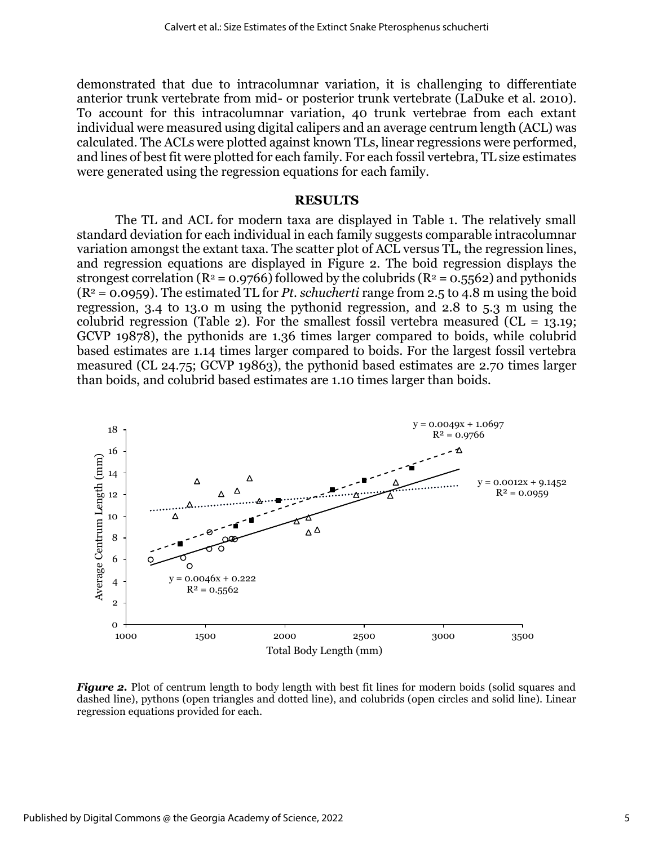demonstrated that due to intracolumnar variation, it is challenging to differentiate anterior trunk vertebrate from mid- or posterior trunk vertebrate (LaDuke et al. 2010). To account for this intracolumnar variation, 40 trunk vertebrae from each extant individual were measured using digital calipers and an average centrum length (ACL) was calculated. The ACLs were plotted against known TLs, linear regressions were performed, and lines of best fit were plotted for each family. For each fossil vertebra, TL size estimates were generated using the regression equations for each family.

#### **RESULTS**

The TL and ACL for modern taxa are displayed in Table 1. The relatively small standard deviation for each individual in each family suggests comparable intracolumnar variation amongst the extant taxa. The scatter plot of ACL versus TL, the regression lines, and regression equations are displayed in Figure 2. The boid regression displays the strongest correlation ( $R^2$  = 0.9766) followed by the colubrids ( $R^2$  = 0.5562) and pythonids (R<sup>2</sup> = 0.0959). The estimated TL for *Pt. schucherti* range from 2.5 to 4.8 m using the boid regression, 3.4 to 13.0 m using the pythonid regression, and 2.8 to 5.3 m using the colubrid regression (Table 2). For the smallest fossil vertebra measured ( $CL = 13.19$ ; GCVP 19878), the pythonids are 1.36 times larger compared to boids, while colubrid based estimates are 1.14 times larger compared to boids. For the largest fossil vertebra measured (CL 24.75; GCVP 19863), the pythonid based estimates are 2.70 times larger than boids, and colubrid based estimates are 1.10 times larger than boids.



*Figure 2.* Plot of centrum length to body length with best fit lines for modern boids (solid squares and dashed line), pythons (open triangles and dotted line), and colubrids (open circles and solid line). Linear regression equations provided for each.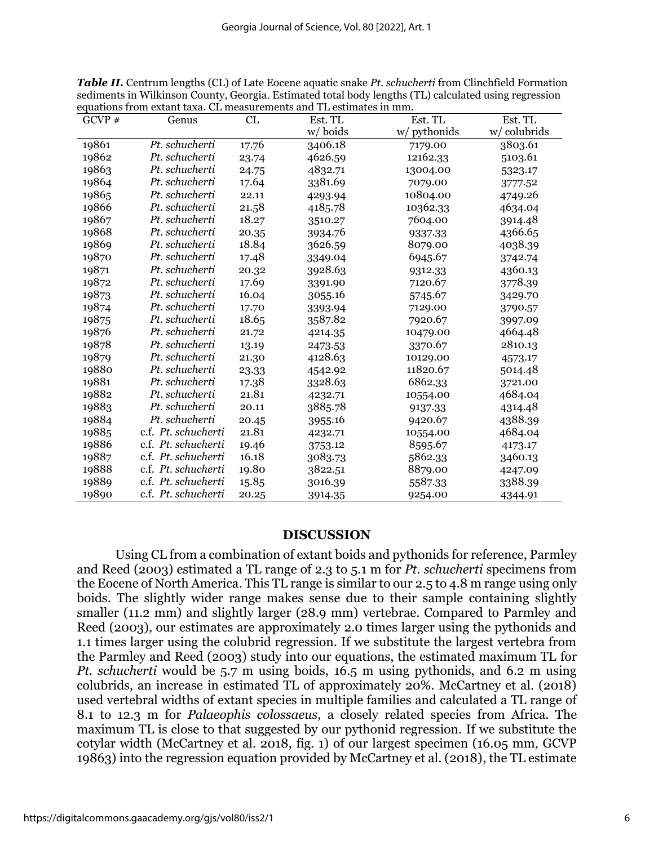| GCVP $#$ | Genus               | CL    | Est. TL | Est. TL      | Est. TL     |
|----------|---------------------|-------|---------|--------------|-------------|
|          |                     |       | w/boids | w/ pythonids | w/colubrids |
| 19861    | Pt. schucherti      | 17.76 | 3406.18 | 7179.00      | 3803.61     |
| 19862    | Pt. schucherti      | 23.74 | 4626.59 | 12162.33     | 5103.61     |
| 19863    | Pt. schucherti      | 24.75 | 4832.71 | 13004.00     | 5323.17     |
| 19864    | Pt. schucherti      | 17.64 | 3381.69 | 7079.00      | 3777.52     |
| 19865    | Pt. schucherti      | 22.11 | 4293.94 | 10804.00     | 4749.26     |
| 19866    | Pt. schucherti      | 21.58 | 4185.78 | 10362.33     | 4634.04     |
| 19867    | Pt. schucherti      | 18.27 | 3510.27 | 7604.00      | 3914.48     |
| 19868    | Pt. schucherti      | 20.35 | 3934.76 | 9337.33      | 4366.65     |
| 19869    | Pt. schucherti      | 18.84 | 3626.59 | 8079.00      | 4038.39     |
| 19870    | Pt. schucherti      | 17.48 | 3349.04 | 6945.67      | 3742.74     |
| 19871    | Pt. schucherti      | 20.32 | 3928.63 | 9312.33      | 4360.13     |
| 19872    | Pt. schucherti      | 17.69 | 3391.90 | 7120.67      | 3778.39     |
| 19873    | Pt. schucherti      | 16.04 | 3055.16 | 5745.67      | 3429.70     |
| 19874    | Pt. schucherti      | 17.70 | 3393.94 | 7129.00      | 3790.57     |
| 19875    | Pt. schucherti      | 18.65 | 3587.82 | 7920.67      | 3997.09     |
| 19876    | Pt. schucherti      | 21.72 | 4214.35 | 10479.00     | 4664.48     |
| 19878    | Pt. schucherti      | 13.19 | 2473.53 | 3370.67      | 2810.13     |
| 19879    | Pt. schucherti      | 21.30 | 4128.63 | 10129.00     | 4573.17     |
| 19880    | Pt. schucherti      | 23.33 | 4542.92 | 11820.67     | 5014.48     |
| 19881    | Pt. schucherti      | 17.38 | 3328.63 | 6862.33      | 3721.00     |
| 19882    | Pt. schucherti      | 21.81 | 4232.71 | 10554.00     | 4684.04     |
| 19883    | Pt. schucherti      | 20.11 | 3885.78 | 9137.33      | 4314.48     |
| 19884    | Pt. schucherti      | 20.45 | 3955.16 | 9420.67      | 4388.39     |
| 19885    | c.f. Pt. schucherti | 21.81 | 4232.71 | 10554.00     | 4684.04     |
| 19886    | c.f. Pt. schucherti | 19.46 | 3753.12 | 8595.67      | 4173.17     |
| 19887    | c.f. Pt. schucherti | 16.18 | 3083.73 | 5862.33      | 3460.13     |
| 19888    | c.f. Pt. schucherti | 19.80 | 3822.51 | 8879.00      | 4247.09     |
| 19889    | c.f. Pt. schucherti | 15.85 | 3016.39 | 5587.33      | 3388.39     |
| 19890    | c.f. Pt. schucherti | 20.25 | 3914.35 | 9254.00      | 4344.91     |

*Table II.* Centrum lengths (CL) of Late Eocene aquatic snake *Pt. schucherti* from Clinchfield Formation sediments in Wilkinson County, Georgia. Estimated total body lengths (TL) calculated using regression equations from extant taxa. CL measurements and TL estimates in mm.

# **DISCUSSION**

Using CL from a combination of extant boids and pythonids for reference, Parmley and Reed (2003) estimated a TL range of 2.3 to 5.1 m for *Pt. schucherti* specimens from the Eocene of North America. This TL range is similar to our 2.5 to 4.8 m range using only boids. The slightly wider range makes sense due to their sample containing slightly smaller (11.2 mm) and slightly larger (28.9 mm) vertebrae. Compared to Parmley and Reed (2003), our estimates are approximately 2.0 times larger using the pythonids and 1.1 times larger using the colubrid regression. If we substitute the largest vertebra from the Parmley and Reed (2003) study into our equations, the estimated maximum TL for *Pt. schucherti* would be 5.7 m using boids, 16.5 m using pythonids, and 6.2 m using colubrids, an increase in estimated TL of approximately 20%. McCartney et al. (2018) used vertebral widths of extant species in multiple families and calculated a TL range of 8.1 to 12.3 m for *Palaeophis colossaeus,* a closely related species from Africa. The maximum TL is close to that suggested by our pythonid regression. If we substitute the cotylar width (McCartney et al. 2018, fig. 1) of our largest specimen (16.05 mm, GCVP 19863) into the regression equation provided by McCartney et al. (2018), the TL estimate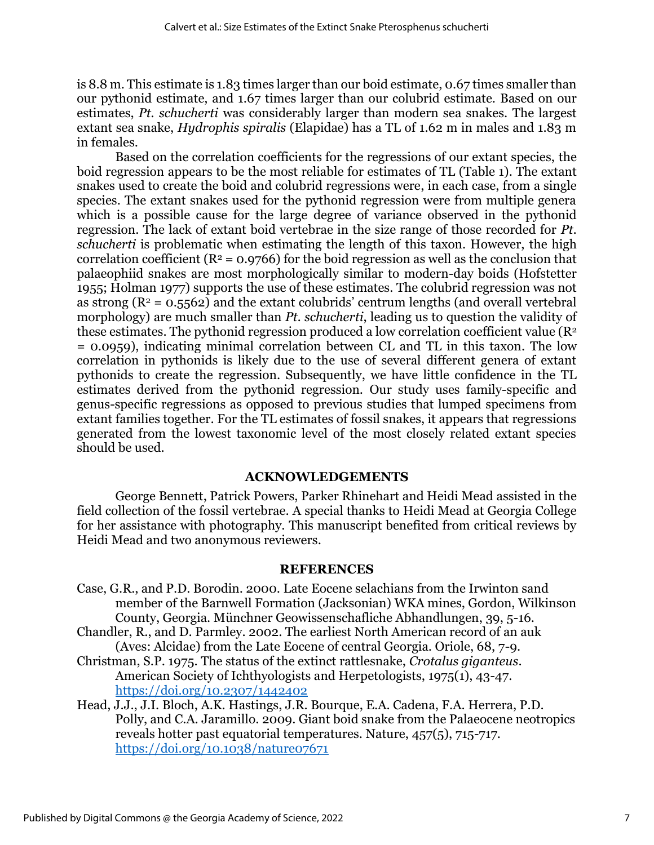is 8.8 m. This estimate is 1.83 times larger than our boid estimate, 0.67 times smaller than our pythonid estimate, and 1.67 times larger than our colubrid estimate. Based on our estimates, *Pt. schucherti* was considerably larger than modern sea snakes. The largest extant sea snake, *Hydrophis spiralis* (Elapidae) has a TL of 1.62 m in males and 1.83 m in females.

Based on the correlation coefficients for the regressions of our extant species, the boid regression appears to be the most reliable for estimates of TL (Table 1). The extant snakes used to create the boid and colubrid regressions were, in each case, from a single species. The extant snakes used for the pythonid regression were from multiple genera which is a possible cause for the large degree of variance observed in the pythonid regression. The lack of extant boid vertebrae in the size range of those recorded for *Pt. schucherti* is problematic when estimating the length of this taxon. However, the high correlation coefficient ( $R^2 = 0.9766$ ) for the boid regression as well as the conclusion that palaeophiid snakes are most morphologically similar to modern-day boids (Hofstetter 1955; Holman 1977) supports the use of these estimates. The colubrid regression was not as strong  $(R^2 = 0.5562)$  and the extant colubrids' centrum lengths (and overall vertebral morphology) are much smaller than *Pt. schucherti*, leading us to question the validity of these estimates. The pythonid regression produced a low correlation coefficient value ( $\mathbb{R}^2$ ) = 0.0959), indicating minimal correlation between CL and TL in this taxon. The low correlation in pythonids is likely due to the use of several different genera of extant pythonids to create the regression. Subsequently, we have little confidence in the TL estimates derived from the pythonid regression. Our study uses family-specific and genus-specific regressions as opposed to previous studies that lumped specimens from extant families together. For the TL estimates of fossil snakes, it appears that regressions generated from the lowest taxonomic level of the most closely related extant species should be used.

# **ACKNOWLEDGEMENTS**

George Bennett, Patrick Powers, Parker Rhinehart and Heidi Mead assisted in the field collection of the fossil vertebrae. A special thanks to Heidi Mead at Georgia College for her assistance with photography. This manuscript benefited from critical reviews by Heidi Mead and two anonymous reviewers.

# **REFERENCES**

- Case, G.R., and P.D. Borodin. 2000. Late Eocene selachians from the Irwinton sand member of the Barnwell Formation (Jacksonian) WKA mines, Gordon, Wilkinson County, Georgia. Münchner Geowissenschafliche Abhandlungen, 39, 5-16.
- Chandler, R., and D. Parmley. 2002. The earliest North American record of an auk (Aves: Alcidae) from the Late Eocene of central Georgia. Oriole, 68, 7-9.
- Christman, S.P. 1975. The status of the extinct rattlesnake, *Crotalus giganteus*. American Society of Ichthyologists and Herpetologists, 1975(1), 43-47. <https://doi.org/10.2307/1442402>
- Head, J.J., J.I. Bloch, A.K. Hastings, J.R. Bourque, E.A. Cadena, F.A. Herrera, P.D. Polly, and C.A. Jaramillo. 2009. Giant boid snake from the Palaeocene neotropics reveals hotter past equatorial temperatures. Nature, 457(5), 715-717. <https://doi.org/10.1038/nature07671>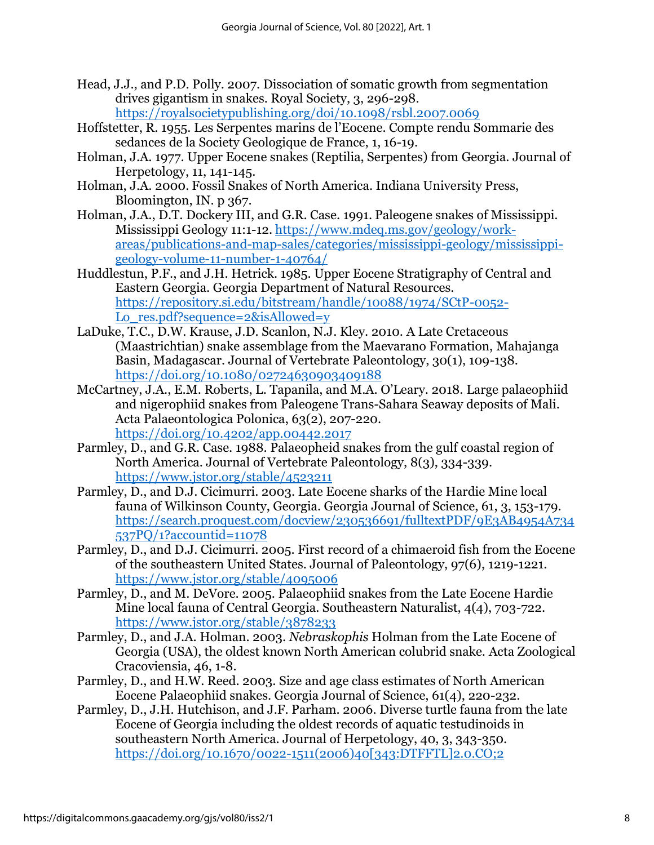- Head, J.J., and P.D. Polly. 2007. Dissociation of somatic growth from segmentation drives gigantism in snakes. Royal Society, 3, 296-298. <https://royalsocietypublishing.org/doi/10.1098/rsbl.2007.0069>
- Hoffstetter, R. 1955. Les Serpentes marins de l'Eocene. Compte rendu Sommarie des sedances de la Society Geologique de France, 1, 16-19.
- Holman, J.A. 1977. Upper Eocene snakes (Reptilia, Serpentes) from Georgia. Journal of Herpetology, 11, 141-145.
- Holman, J.A. 2000. Fossil Snakes of North America. Indiana University Press, Bloomington, IN. p 367.
- Holman, J.A., D.T. Dockery III, and G.R. Case. 1991. Paleogene snakes of Mississippi. Mississippi Geology 11:1-12. [https://www.mdeq.ms.gov/geology/work](https://www.mdeq.ms.gov/geology/work-areas/publications-and-map-sales/categories/mississippi-geology/mississippi-geology-volume-11-number-1-40764/)[areas/publications-and-map-sales/categories/mississippi-geology/mississippi](https://www.mdeq.ms.gov/geology/work-areas/publications-and-map-sales/categories/mississippi-geology/mississippi-geology-volume-11-number-1-40764/)[geology-volume-11-number-1-40764/](https://www.mdeq.ms.gov/geology/work-areas/publications-and-map-sales/categories/mississippi-geology/mississippi-geology-volume-11-number-1-40764/)
- Huddlestun, P.F., and J.H. Hetrick. 1985. Upper Eocene Stratigraphy of Central and Eastern Georgia. Georgia Department of Natural Resources. [https://repository.si.edu/bitstream/handle/10088/1974/SCtP-0052-](https://repository.si.edu/bitstream/handle/10088/1974/SCtP-0052-Lo_res.pdf?sequence=2&isAllowed=y) [Lo\\_res.pdf?sequence=2&isAllowed=y](https://repository.si.edu/bitstream/handle/10088/1974/SCtP-0052-Lo_res.pdf?sequence=2&isAllowed=y)
- LaDuke, T.C., D.W. Krause, J.D. Scanlon, N.J. Kley. 2010. A Late Cretaceous (Maastrichtian) snake assemblage from the Maevarano Formation, Mahajanga Basin, Madagascar. Journal of Vertebrate Paleontology, 30(1), 109-138. <https://doi.org/10.1080/02724630903409188>
- McCartney, J.A., E.M. Roberts, L. Tapanila, and M.A. O'Leary. 2018. Large palaeophiid and nigerophiid snakes from Paleogene Trans-Sahara Seaway deposits of Mali. Acta Palaeontologica Polonica, 63(2), 207-220. <https://doi.org/10.4202/app.00442.2017>
- Parmley, D., and G.R. Case. 1988. Palaeopheid snakes from the gulf coastal region of North America. Journal of Vertebrate Paleontology, 8(3), 334-339. <https://www.jstor.org/stable/4523211>
- Parmley, D., and D.J. Cicimurri. 2003. Late Eocene sharks of the Hardie Mine local fauna of Wilkinson County, Georgia. Georgia Journal of Science, 61, 3, 153-179. [https://search.proquest.com/docview/230536691/fulltextPDF/9E3AB4954A734](https://search.proquest.com/docview/230536691/fulltextPDF/9E3AB4954A734537PQ/1?accountid=11078) [537PQ/1?accountid=11078](https://search.proquest.com/docview/230536691/fulltextPDF/9E3AB4954A734537PQ/1?accountid=11078)
- Parmley, D., and D.J. Cicimurri. 2005. First record of a chimaeroid fish from the Eocene of the southeastern United States. Journal of Paleontology, 97(6), 1219-1221. <https://www.jstor.org/stable/4095006>
- Parmley, D., and M. DeVore. 2005. Palaeophiid snakes from the Late Eocene Hardie Mine local fauna of Central Georgia. Southeastern Naturalist, 4(4), 703-722. <https://www.jstor.org/stable/3878233>
- Parmley, D., and J.A. Holman. 2003. *Nebraskophis* Holman from the Late Eocene of Georgia (USA), the oldest known North American colubrid snake. Acta Zoological Cracoviensia, 46, 1-8.
- Parmley, D., and H.W. Reed. 2003. Size and age class estimates of North American Eocene Palaeophiid snakes. Georgia Journal of Science, 61(4), 220-232.
- Parmley, D., J.H. Hutchison, and J.F. Parham. 2006. Diverse turtle fauna from the late Eocene of Georgia including the oldest records of aquatic testudinoids in southeastern North America. Journal of Herpetology, 40, 3, 343-350. [https://doi.org/10.1670/0022-1511\(2006\)40\[343:DTFFTL\]2.0.CO;2](https://doi.org/10.1670/0022-1511(2006)40%5b343:DTFFTL%5d2.0.CO;2)